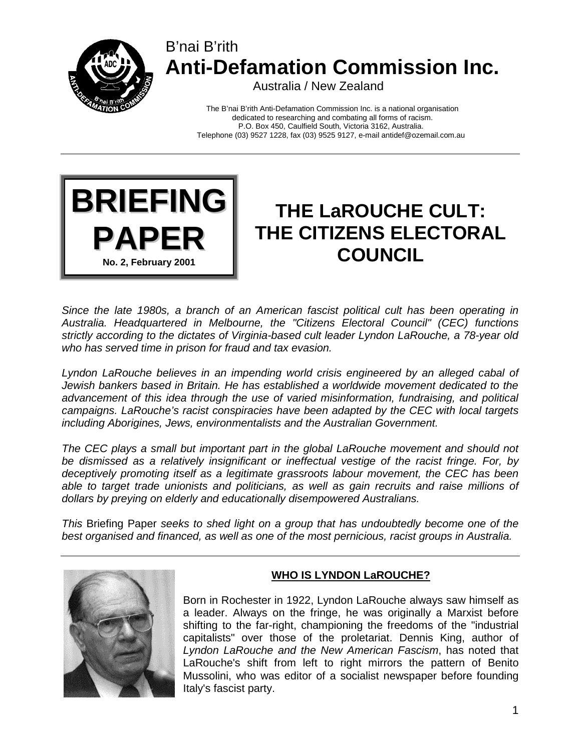

## B'nai B'rith **Anti-Defamation Commission Inc.**

Australia / New Zealand

The B'nai B'rith Anti-Defamation Commission Inc. is a national organisation dedicated to researching and combating all forms of racism. P.O. Box 450, Caulfield South, Victoria 3162, Australia. Telephone (03) 9527 1228, fax (03) 9525 9127, e-mail antidef@ozemail.com.au



# **THE LaROUCHE CULT: THE CITIZENS ELECTORAL COUNCIL**

*Since the late 1980s, a branch of an American fascist political cult has been operating in Australia. Headquartered in Melbourne, the "Citizens Electoral Council" (CEC) functions strictly according to the dictates of Virginia-based cult leader Lyndon LaRouche, a 78-year old who has served time in prison for fraud and tax evasion.* 

Lyndon LaRouche believes in an impending world crisis engineered by an alleged cabal of *Jewish bankers based in Britain. He has established a worldwide movement dedicated to the advancement of this idea through the use of varied misinformation, fundraising, and political campaigns. LaRouche's racist conspiracies have been adapted by the CEC with local targets including Aborigines, Jews, environmentalists and the Australian Government.* 

*The CEC plays a small but important part in the global LaRouche movement and should not be dismissed as a relatively insignificant or ineffectual vestige of the racist fringe. For, by deceptively promoting itself as a legitimate grassroots labour movement, the CEC has been able to target trade unionists and politicians, as well as gain recruits and raise millions of dollars by preying on elderly and educationally disempowered Australians.* 

*This* Briefing Paper *seeks to shed light on a group that has undoubtedly become one of the best organised and financed, as well as one of the most pernicious, racist groups in Australia.* 



## **WHO IS LYNDON LaROUCHE?**

Born in Rochester in 1922, Lyndon LaRouche always saw himself as a leader. Always on the fringe, he was originally a Marxist before shifting to the far-right, championing the freedoms of the "industrial capitalists" over those of the proletariat. Dennis King, author of *Lyndon LaRouche and the New American Fascism*, has noted that LaRouche's shift from left to right mirrors the pattern of Benito Mussolini, who was editor of a socialist newspaper before founding Italy's fascist party.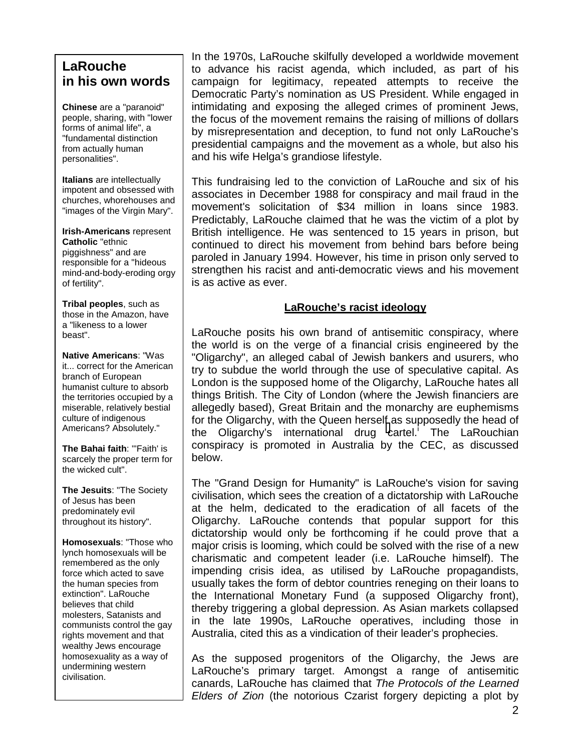## **LaRouche in his own words**

**Chinese** are a "paranoid" people, sharing, with "lower forms of animal life", a "fundamental distinction from actually human personalities".

**Italians** are intellectually impotent and obsessed with churches, whorehouses and "images of the Virgin Mary".

**Irish-Americans** represent **Catholic** "ethnic piggishness" and are responsible for a "hideous mind-and-body-eroding orgy of fertility".

**Tribal peoples**, such as those in the Amazon, have a "likeness to a lower beast".

**Native Americans**: "Was it... correct for the American branch of European humanist culture to absorb the territories occupied by a miserable, relatively bestial culture of indigenous Americans? Absolutely."

**The Bahai faith**: "'Faith' is scarcely the proper term for the wicked cult".

**The Jesuits**: "The Society of Jesus has been predominately evil throughout its history".

**Homosexuals**: "Those who lynch homosexuals will be remembered as the only force which acted to save the human species from extinction". LaRouche believes that child molesters, Satanists and communists control the gay rights movement and that wealthy Jews encourage homosexuality as a way of undermining western civilisation.

In the 1970s, LaRouche skilfully developed a worldwide movement to advance his racist agenda, which included, as part of his campaign for legitimacy, repeated attempts to receive the Democratic Party's nomination as US President. While engaged in intimidating and exposing the alleged crimes of prominent Jews, the focus of the movement remains the raising of millions of dollars by misrepresentation and deception, to fund not only LaRouche's presidential campaigns and the movement as a whole, but also his and his wife Helga's grandiose lifestyle.

This fundraising led to the conviction of LaRouche and six of his associates in December 1988 for conspiracy and mail fraud in the movement's solicitation of \$34 million in loans since 1983. Predictably, LaRouche claimed that he was the victim of a plot by British intelligence. He was sentenced to 15 years in prison, but continued to direct his movement from behind bars before being paroled in January 1994. However, his time in prison only served to strengthen his racist and anti-democratic views and his movement is as active as ever.

#### **LaRouche's racist ideology**

LaRouche posits his own brand of antisemitic conspiracy, where the world is on the verge of a financial crisis engineered by the "Oligarchy", an alleged cabal of Jewish bankers and usurers, who try to subdue the world through the use of speculative capital. As London is the supposed home of the Oligarchy, LaRouche hates all things British. The City of London (where the Jewish financiers are allegedly based), Great Britain and the monarchy are euphemisms for the Oligarchy, with the Queen herself as supposedly the head of the Oligar[c](#page-6-0)hy's international drug cartel.<sup>1</sup> The LaRouchian conspiracy is promoted in Australia by the CEC, as discussed below.

The "Grand Design for Humanity" is LaRouche's vision for saving civilisation, which sees the creation of a dictatorship with LaRouche at the helm, dedicated to the eradication of all facets of the Oligarchy. LaRouche contends that popular support for this dictatorship would only be forthcoming if he could prove that a major crisis is looming, which could be solved with the rise of a new charismatic and competent leader (i.e. LaRouche himself). The impending crisis idea, as utilised by LaRouche propagandists, usually takes the form of debtor countries reneging on their loans to the International Monetary Fund (a supposed Oligarchy front), thereby triggering a global depression. As Asian markets collapsed in the late 1990s, LaRouche operatives, including those in Australia, cited this as a vindication of their leader's prophecies.

As the supposed progenitors of the Oligarchy, the Jews are LaRouche's primary target. Amongst a range of antisemitic canards, LaRouche has claimed that *The Protocols of the Learned Elders of Zion* (the notorious Czarist forgery depicting a plot by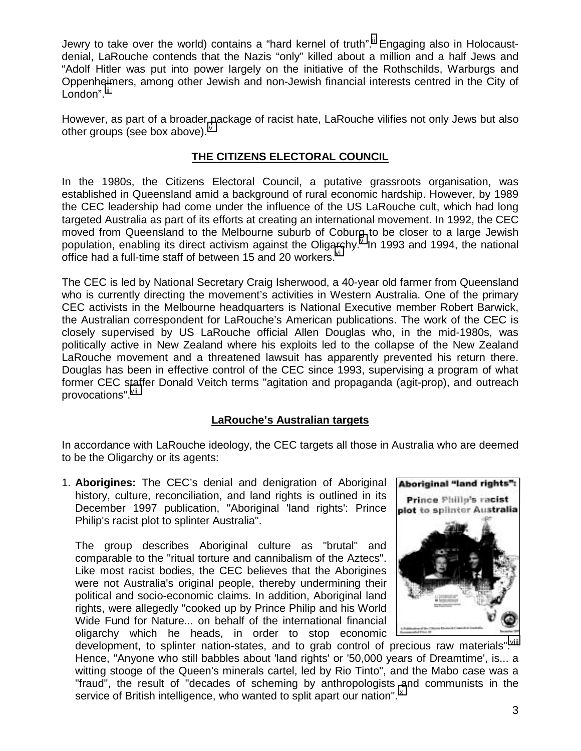Jewry to take over the world) contains a "hard kernel of truth". Engaging also in Holocaustdenial, LaRouche contends that the Nazis "only" killed about a million and a half Jews and "Adolf Hitler was put into power largely on the initiative of the Rothschilds, Warburgs and Oppenh[eim](#page-6-0)ers, among other Jewish and non-Jewish financial interests centred in the City of London".<sup>iii</sup>

However, as part of a broader package of racist hate, LaRouche vilifies not only Jews but also other groups (see box above).<sup>"</sup>

### **THE CITIZENS ELECTORAL COUNCIL**

In the 1980s, the Citizens Electoral Council, a putative grassroots organisation, was established in Queensland amid a background of rural economic hardship. However, by 1989 the CEC leadership had come under the influence of the US LaRouche cult, which had long targeted Australia as part of its efforts at creating an international movement. In 1992, the CEC moved from Queensland to the Melbourne suburb of Cobur[g](#page-6-0) to be closer to a large Jewish population, enabling its direct activism against the Olig[arc](#page-6-0)hy. $\sqrt[y]{\ }$  In 1993 and 1994, the national office had a full-time staff of between 15 and 20 workers.  $\frac{v}{x}$ 

The CEC is led by National Secretary Craig Isherwood, a 40-year old farmer from Queensland who is currently directing the movement's activities in Western Australia. One of the primary CEC activists in the Melbourne headquarters is National Executive member Robert Barwick, the Australian correspondent for LaRouche's American publications. The work of the CEC is closely supervised by US LaRouche official Allen Douglas who, in the mid-1980s, was politically active in New Zealand where his exploits led to the collapse of the New Zealand LaRouche movement and a threatened lawsuit has apparently prevented his return there. Douglas has been in effective control of the CEC since 1993, supervising a program of what former CEC staffer Donald Veitch terms "agitation and propaganda (agit-prop), and outreach provocations". Vii

## **LaRouche's Australian targets**

In accordance with LaRouche ideology, the CEC targets all those in Australia who are deemed to be the Oligarchy or its agents:

1. **Aborigines:** The CEC's denial and denigration of Aboriginal history, culture, reconciliation, and land rights is outlined in its December 1997 publication, "Aboriginal 'land rights': Prince Philip's racist plot to splinter Australia".

The group describes Aboriginal culture as "brutal" and comparable to the "ritual torture and cannibalism of the Aztecs". Like most racist bodies, the CEC believes that the Aborigines were not Australia's original people, thereby undermining their political and socio-economic claims. In addition, Aboriginal land rights, were allegedly "cooked up by Prince Philip and his World Wide Fund for Nature... on behalf of the international financial oligarchy which he heads, in order to stop economic



development, to splinter nation-states, and to grab control of precious raw materials".<sup>viii</sup> Hence, "Anyone who still babbles about 'land rights' or '50,000 years of Dreamtime', is... a witting stooge of the Queen's minerals cartel, led by Rio Tinto", and the Mabo case was a "fraud", the result of "decades of scheming by anthropologists and communists in the service of British intelligence, who wanted to split apart our nation".<sup>[ix](#page-6-0)</sup>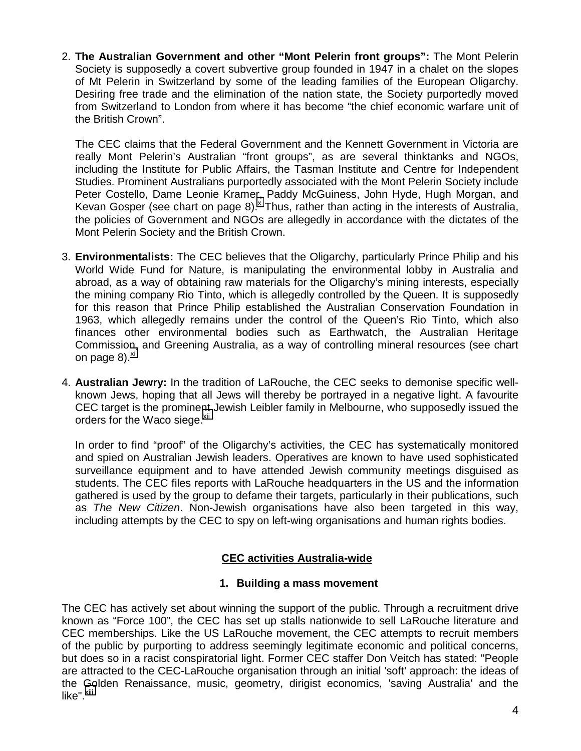2. **The Australian Government and other "Mont Pelerin front groups":** The Mont Pelerin Society is supposedly a covert subvertive group founded in 1947 in a chalet on the slopes of Mt Pelerin in Switzerland by some of the leading families of the European Oligarchy. Desiring free trade and the elimination of the nation state, the Society purportedly moved from Switzerland to London from where it has become "the chief economic warfare unit of the British Crown".

The CEC claims that the Federal Government and the Kennett Government in Victoria are really Mont Pelerin's Australian "front groups", as are several thinktanks and NGOs, including the Institute for Public Affairs, the Tasman Institute and Centre for Independent Studies. Prominent Australians purportedly associated with the Mont Pelerin Society include Peter Costello, Dame Leonie Kramer, Paddy McGuiness, John Hyde, Hugh Morgan, and Kevan Gosper (see chart on page 8). $^{\circ}$  Thus, rather than acting in the interests of Australia, the policies of Government and NGOs are allegedly in accordance with the dictates of the Mont Pelerin Society and the British Crown.

- 3. **Environmentalists:** The CEC believes that the Oligarchy, particularly Prince Philip and his World Wide Fund for Nature, is manipulating the environmental lobby in Australia and abroad, as a way of obtaining raw materials for the Oligarchy's mining interests, especially the mining company Rio Tinto, which is allegedly controlled by the Queen. It is supposedly for this reason that Prince Philip established the Australian Conservation Foundation in 1963, which allegedly remains under the control of the Queen's Rio Tinto, which also finances other environmental bodies such as Earthwatch, the Australian Heritage Commission, and Greening Australia, as a way of controlling mineral resources (see chart on page 8). $x_i$
- 4. **Australian Jewry:** In the tradition of LaRouche, the CEC seeks to demonise specific wellknown Jews, hoping that all Jews will thereby be portrayed in a negative light. A favourite CEC target is the prominent Jewish Leibler family in Melbourne, who supposedly issued the orders for the Waco siege.<sup>[xii](#page-6-0)</sup>

In order to find "proof" of the Oligarchy's activities, the CEC has systematically monitored and spied on Australian Jewish leaders. Operatives are known to have used sophisticated surveillance equipment and to have attended Jewish community meetings disguised as students. The CEC files reports with LaRouche headquarters in the US and the information gathered is used by the group to defame their targets, particularly in their publications, such as *The New Citizen*. Non-Jewish organisations have also been targeted in this way, including attempts by the CEC to spy on left-wing organisations and human rights bodies.

## **CEC activities Australia-wide**

#### **1. Building a mass movement**

The CEC has actively set about winning the support of the public. Through a recruitment drive known as "Force 100", the CEC has set up stalls nationwide to sell LaRouche literature and CEC memberships. Like the US LaRouche movement, the CEC attempts to recruit members of the public by purporting to address seemingly legitimate economic and political concerns, but does so in a racist conspiratorial light. Former CEC staffer Don Veitch has stated: "People are attracted to the CEC-LaRouche organisation through an initial 'soft' approach: the ideas of the Golden Renaissance, music, geometry, dirigist economics, 'saving Australia' and the like".<sup>[xiii](#page-6-0)</sup>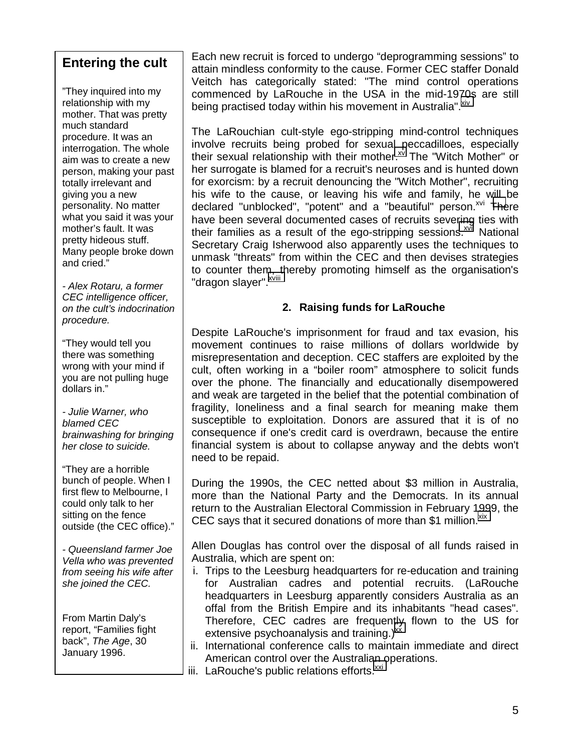## **Entering the cult**

"They inquired into my relationship with my mother. That was pretty much standard procedure. It was an interrogation. The whole aim was to create a new person, making your past totally irrelevant and giving you a new personality. No matter what you said it was your mother's fault. It was pretty hideous stuff. Many people broke down and cried."

*- Alex Rotaru, a former CEC intelligence officer, on the cult's indocrination procedure.* 

"They would tell you there was something wrong with your mind if you are not pulling huge dollars in."

*- Julie Warner, who blamed CEC brainwashing for bringing her close to suicide.*

"They are a horrible bunch of people. When I first flew to Melbourne, I could only talk to her sitting on the fence outside (the CEC office)."

*- Queensland farmer Joe Vella who was prevented from seeing his wife after she joined the CEC.* 

From Martin Daly's report, "Families fight back", *The Age*, 30 January 1996.

Each new recruit is forced to undergo "deprogramming sessions" to attain mindless conformity to the cause. Former CEC staffer Donald Veitch has categorically stated: "The mind control operations commenced by LaRouche in the USA in the mid-1970s are still being practised today within his movement in Australia".<sup>XIV</sup>

The LaRouchian cult-style ego-stripping mind-control techniques involve recruits being probed for sexual peccadilloes, especially their sexual relationship with their mother. $x^N$  The "Witch Mother" or her surrogate is blamed for a recruit's neuroses and is hunted down for exorcism: by a recruit denouncing the "Witch Mother", recruiting his wife to the cause, or leaving his wife and family, he will be declared "unblocked", "potent" and a "beautiful" person.<sup>xvi</sup> [The](#page-6-0)re have been several documented cases of recruits severing ties with their families as a result of the ego-stripping sessions.<sup> $xvi$ </sup> National Secretary Craig Isherwood also apparently uses the techniques to unmask "threats" from within the CEC and then devises strategies to counter them, thereby promoting himself as the organisation's "dragon slayer". XViii

## **2. Raising funds for LaRouche**

Despite LaRouche's imprisonment for fraud and tax evasion, his movement continues to raise millions of dollars worldwide by misrepresentation and deception. CEC staffers are exploited by the cult, often working in a "boiler room" atmosphere to solicit funds over the phone. The financially and educationally disempowered and weak are targeted in the belief that the potential combination of fragility, loneliness and a final search for meaning make them susceptible to exploitation. Donors are assured that it is of no consequence if one's credit card is overdrawn, because the entire financial system is about to collapse anyway and the debts won't need to be repaid.

During the 1990s, the CEC netted about \$3 million in Australia, more than the National Party and the Democrats. In its annual return to the Australian Electoral Commission in February 1999, the CEC says that it secured donations of more than \$1 million.<sup>XIX</sup>

Allen Douglas has control over the disposal of all funds raised in Australia, which are spent on:

- i. Trips to the Leesburg headquarters for re-education and training for Australian cadres and potential recruits. (LaRouche headquarters in Leesburg apparently considers Australia as an offal from the British Empire and its inhabitants "head cases". Therefore, CEC cadres are frequently flown to the US for extensive psychoanalysis and training.) $^{xx}$  $^{xx}$  $^{xx}$
- ii. International conference calls to maintain immediate and direct American control over the Australian operations.
- iii. LaRouche's public relations efforts.<sup>xxi</sup>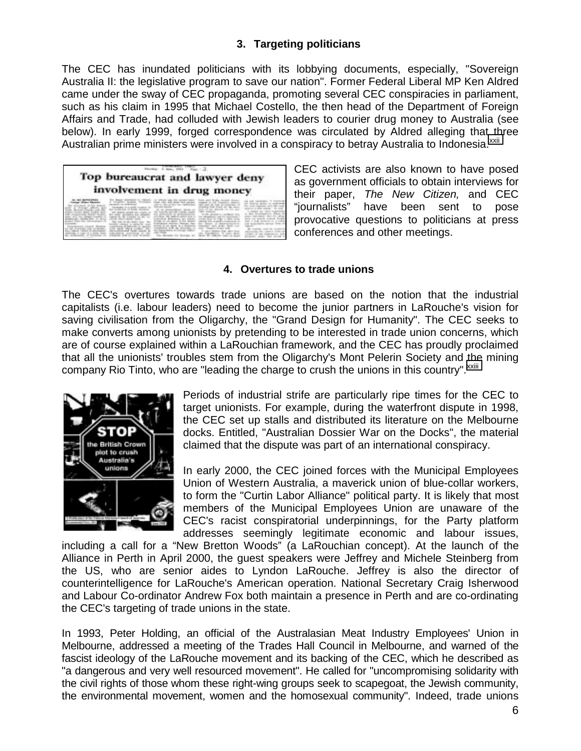### **3. Targeting politicians**

The CEC has inundated politicians with its lobbying documents, especially, "Sovereign Australia II: the legislative program to save our nation". Former Federal Liberal MP Ken Aldred came under the sway of CEC propaganda, promoting several CEC conspiracies in parliament, such as his claim in 1995 that Michael Costello, the then head of the Department of Foreign Affairs and Trade, had colluded with Jewish leaders to courier drug money to Australia (see below). In early 1999, forged correspondence was circulated by Aldred alleging that three Australian prime ministers were involved in a conspiracy to betray Australia to Indonesia.<sup>XXII</sup>

| Top bureaucrat and lawyer deny<br>involvement in drug money |  |  |  |  |
|-------------------------------------------------------------|--|--|--|--|
|                                                             |  |  |  |  |

CEC activists are also known to have posed as government officials to obtain interviews for their paper, *The New Citizen,* and CEC "journalists" have been sent to pose provocative questions to politicians at press conferences and other meetings.

#### **4. Overtures to trade unions**

The CEC's overtures towards trade unions are based on the notion that the industrial capitalists (i.e. labour leaders) need to become the junior partners in LaRouche's vision for saving civilisation from the Oligarchy, the "Grand Design for Humanity". The CEC seeks to make converts among unionists by pretending to be interested in trade union concerns, which are of course explained within a LaRouchian framework, and the CEC has proudly proclaimed that all the unionists' troubles stem from the Oligarchy's Mont Pelerin Society and the mining company Rio Tinto, who are "leading the charge to crush the unions in this country". XXIII



Periods of industrial strife are particularly ripe times for the CEC to target unionists. For example, during the waterfront dispute in 1998, the CEC set up stalls and distributed its literature on the Melbourne docks. Entitled, "Australian Dossier War on the Docks", the material claimed that the dispute was part of an international conspiracy.

In early 2000, the CEC joined forces with the Municipal Employees Union of Western Australia, a maverick union of blue-collar workers, to form the "Curtin Labor Alliance" political party. It is likely that most members of the Municipal Employees Union are unaware of the CEC's racist conspiratorial underpinnings, for the Party platform addresses seemingly legitimate economic and labour issues,

including a call for a "New Bretton Woods" (a LaRouchian concept). At the launch of the Alliance in Perth in April 2000, the guest speakers were Jeffrey and Michele Steinberg from the US, who are senior aides to Lyndon LaRouche. Jeffrey is also the director of counterintelligence for LaRouche's American operation. National Secretary Craig Isherwood and Labour Co-ordinator Andrew Fox both maintain a presence in Perth and are co-ordinating the CEC's targeting of trade unions in the state.

In 1993, Peter Holding, an official of the Australasian Meat Industry Employees' Union in Melbourne, addressed a meeting of the Trades Hall Council in Melbourne, and warned of the fascist ideology of the LaRouche movement and its backing of the CEC, which he described as "a dangerous and very well resourced movement". He called for "uncompromising solidarity with the civil rights of those whom these right-wing groups seek to scapegoat, the Jewish community, the environmental movement, women and the homosexual community". Indeed, trade unions